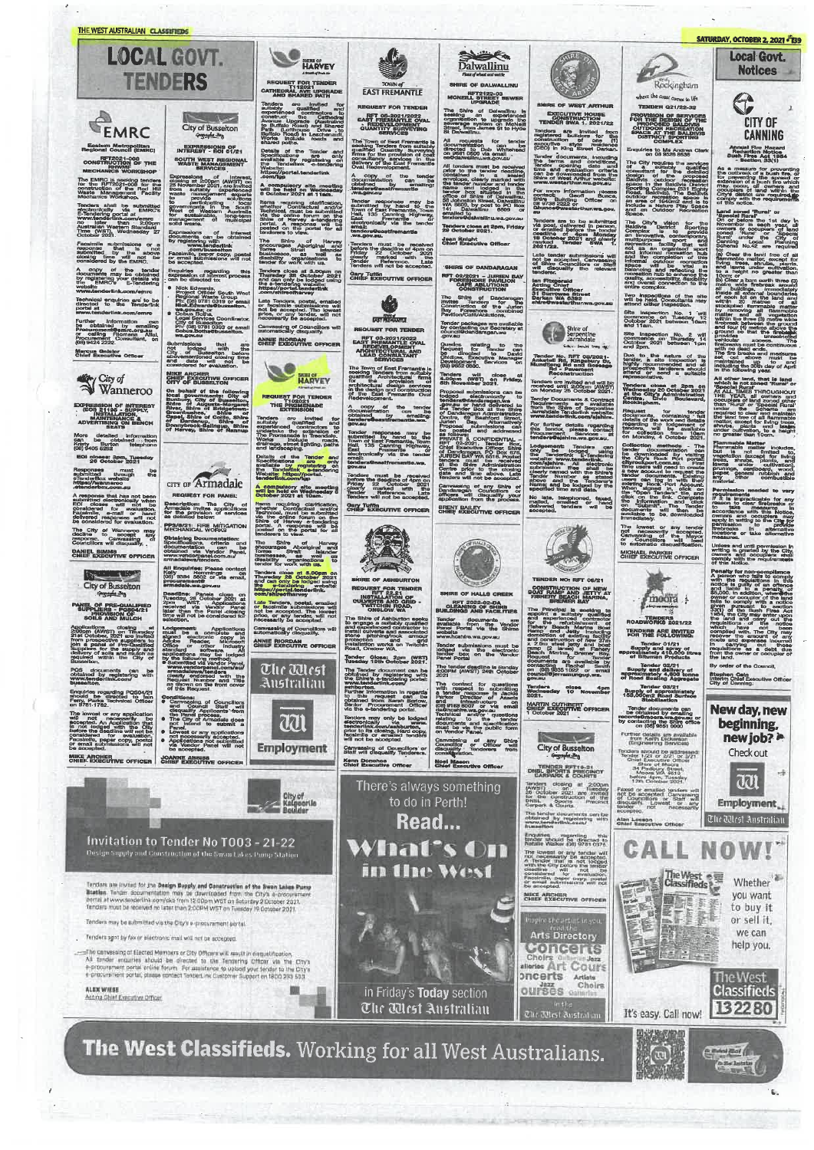

The West Classifieds. Working for all West Australians.

SATURDAY, OCTOBER 2, 2021 - 139

Local Govt.

**Notices** A

**CITY OF CANNING** Annual Fire mazard<br>Reduction Notice<br>Bush Fires Act 1954<br>- Section 33/11

As a measure for prevent<br>the outbreak of a bush fire<br>for preventing the spread<br>other preventing the spread<br>considers of lands fire<br>why.co.cur, all owners<br>City's district an required<br>comply with the requirement<br>of this noti

Land soned 'Rural' or<br>'Boscial Rural'<br>On or before the 1st<br>November Here The Base of the The Theory and November In each year, all<br>November In each year, all<br>november In each year, all<br>coned. "Runa" or "Special<br>Runa" under the City of<br>Canning Local Planning<br>Schems No.42 are required Thema No.4% are required<br>Clear the land free of all<br>Impacts matter, except for<br>the thema under outlivation,<br>a height no greater than<br>the care of the state of the care of the care of the care of the care of the care of the a bare ourth three (3) ddings, immediate<br>Leternal boundaries<br>Let on the land an<br>20 metres of s<br>ad flammable marts<br>oving all flammable<br>and all vegetation<br>is three (3) metre wide<br>is three (3) metre wide<br>is three (3) metre wide and four (s) means the browner and four-<br>ground so that the firebeart with provides a unrestriction<br>wellow also that the firebeart of the presentation of the presentation<br>with the browner browner and the means and contract

an an volume when the state of the Middle March of Runal of Alexandrian Analytic Company and Alexandrian and the VEAR, all owners and the unit function of the Unit of the Unit of the Unit of the unit function of the unit f than 'Burer or Scheme . are<br>medined to clear and maintain the same reduced to clear and maintain<br>matter, except for living trees,<br>awithe, plants and lawyers and the distance of the distance of the distance<br>for greater than

**of** the<br>ection is<br>and all<br>restriction

The memory and 10cm.<br>Flammable Marten includes<br>but missle of the includes<br>but missle of the includes<br>trees, shrups, plants, and<br>trees, shrups, plants, and<br>particular combustible<br>and first combustible<br>matterial.

meroman<br>
Sermission mediate for any<br>
Sermission to clear firstnation<br>
The Empiracionals for any<br>
The Empiracionals and the Middle<br>
accordance with this Notice<br>
compare and occupiers may<br>
apply in writing to the City<br>
parti aks in after<br>ins or take after

Unless and until permission in<br>whiting is granted by the Gifty<br>comparison and occupiers shall<br>comply with the requirements<br>of this Notice.

compy widted.<br>
The main widted of the main width the main with the magnitude is<br>
and the magnitude of the main of the main<br>
and lable to a penet<br>
sound the main of the main of the main of the main<br>
sound the complex with a and Hable to a<br>55,000, in addition,<br>9 when or coopley with<br>fails to comply with<br>5320 of the Bush<br>1954, the City may<br>the land cand add candidate<br>the land candidate of the land candidate give, and the City may enter the fand and carry out the<br>the land and carry out the<br>the land and carry out the modos<br>which have not been<br>complied with. The City may<br>complied with. The City may lied w.<br>er the amounts were the carrying out<br>carrying out<br>sitions as a debt in camp<br>requisition<br>from the o

By order of the Council. Stephen Cain<br>Interim Chief Executive Offic<br>City of Canning:

New day, new



aai **Employment** 

The Mest Anstralian **NOW!** 

Whether vou want to buy it or sell it,

we can help you.

 $(1 - 1)$  and  $($  $\sum_{i=1}^{n}$ 

The West<br>Classifieds 132280

R.